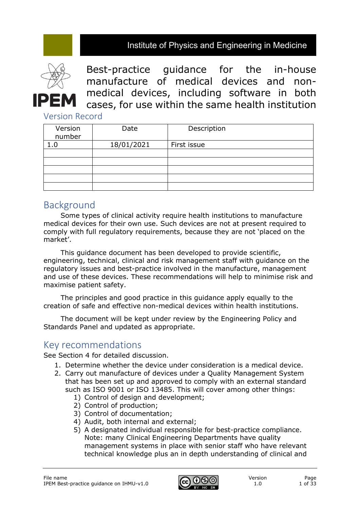## Institute of Physics and Engineering in Medicine



Best-practice guidance for the in-house manufacture of medical devices and nonmedical devices, including software in both cases, for use within the same health institution

Version Record

| Version<br>number | Date       | Description |
|-------------------|------------|-------------|
|                   | 18/01/2021 | First issue |
|                   |            |             |
|                   |            |             |
|                   |            |             |
|                   |            |             |
|                   |            |             |

# Background

Some types of clinical activity require health institutions to manufacture medical devices for their own use. Such devices are not at present required to comply with full regulatory requirements, because they are not 'placed on the market'.

This guidance document has been developed to provide scientific, engineering, technical, clinical and risk management staff with guidance on the regulatory issues and best-practice involved in the manufacture, management and use of these devices. These recommendations will help to minimise risk and maximise patient safety.

The principles and good practice in this guidance apply equally to the creation of safe and effective non-medical devices within health institutions.

The document will be kept under review by the Engineering Policy and Standards Panel and updated as appropriate.

## Key recommendations

See Section 4 for detailed discussion.

- 1. Determine whether the device under consideration is a medical device.
- 2. Carry out manufacture of devices under a Quality Management System that has been set up and approved to comply with an external standard such as ISO 9001 or ISO 13485. This will cover among other things:
	- 1) Control of design and development;
	- 2) Control of production;
	- 3) Control of documentation;
	- 4) Audit, both internal and external;
	- 5) A designated individual responsible for best-practice compliance. Note: many Clinical Engineering Departments have quality management systems in place with senior staff who have relevant technical knowledge plus an in depth understanding of clinical and

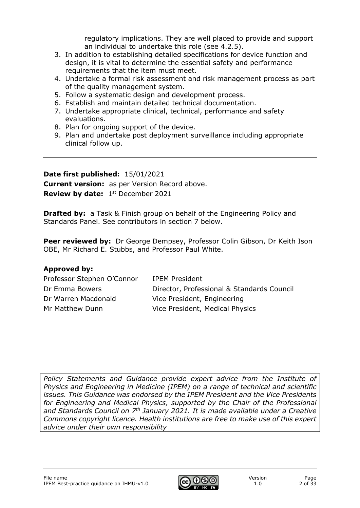regulatory implications. They are well placed to provide and support an individual to undertake this role (see 4.2.5).

- 3. In addition to establishing detailed specifications for device function and design, it is vital to determine the essential safety and performance requirements that the item must meet.
- 4. Undertake a formal risk assessment and risk management process as part of the quality management system.
- 5. Follow a systematic design and development process.
- 6. Establish and maintain detailed technical documentation.
- 7. Undertake appropriate clinical, technical, performance and safety evaluations.
- 8. Plan for ongoing support of the device.
- 9. Plan and undertake post deployment surveillance including appropriate clinical follow up.

## **Date first published:** 15/01/2021 **Current version:** as per Version Record above. **Review by date:** 1<sup>st</sup> December 2021

**Drafted by:** a Task & Finish group on behalf of the Engineering Policy and Standards Panel. See contributors in section 7 below.

**Peer reviewed by:** Dr George Dempsey, Professor Colin Gibson, Dr Keith Ison OBE, Mr Richard E. Stubbs, and Professor Paul White.

## **Approved by:**

| Professor Stephen O'Connor | <b>IPEM President</b>                      |
|----------------------------|--------------------------------------------|
| Dr Emma Bowers             | Director, Professional & Standards Council |
| Dr Warren Macdonald        | Vice President, Engineering                |
| Mr Matthew Dunn            | Vice President, Medical Physics            |

*Policy Statements and Guidance provide expert advice from the Institute of Physics and Engineering in Medicine (IPEM) on a range of technical and scientific issues. This Guidance was endorsed by the IPEM President and the Vice Presidents for Engineering and Medical Physics, supported by the Chair of the Professional and Standards Council on 7th January 2021. It is made available under a Creative Commons copyright licence. Health institutions are free to make use of this expert advice under their own responsibility*

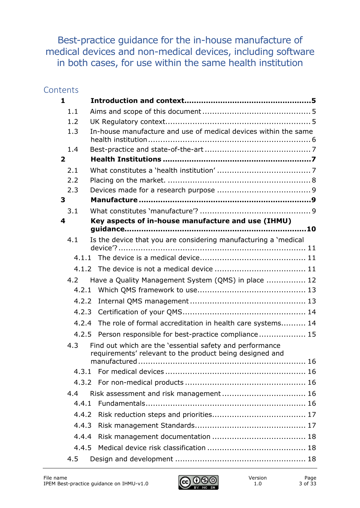Best-practice guidance for the in-house manufacture of medical devices and non-medical devices, including software in both cases, for use within the same health institution

## **Contents**

| $\mathbf{1}$   |                                                                                                                      |
|----------------|----------------------------------------------------------------------------------------------------------------------|
| 1.1            |                                                                                                                      |
| 1.2            |                                                                                                                      |
| 1.3            | In-house manufacture and use of medical devices within the same                                                      |
| 1.4            |                                                                                                                      |
| $\overline{2}$ |                                                                                                                      |
| 2.1            |                                                                                                                      |
| 2.2            |                                                                                                                      |
| 2.3            |                                                                                                                      |
| 3              |                                                                                                                      |
| 3.1            |                                                                                                                      |
| 4              | Key aspects of in-house manufacture and use (IHMU)                                                                   |
| 4.1            | Is the device that you are considering manufacturing a 'medical                                                      |
|                |                                                                                                                      |
|                |                                                                                                                      |
|                |                                                                                                                      |
| 4.2            | Have a Quality Management System (QMS) in place  12                                                                  |
| 4.2.1          |                                                                                                                      |
| 4.2.2          |                                                                                                                      |
|                |                                                                                                                      |
| 4.2.4          | The role of formal accreditation in health care systems 14                                                           |
|                | 4.2.5 Person responsible for best-practice compliance 15                                                             |
| 4.3            | Find out which are the 'essential safety and performance<br>requirements' relevant to the product being designed and |
|                |                                                                                                                      |
|                |                                                                                                                      |
|                |                                                                                                                      |
| 4.4            |                                                                                                                      |
| 4.4.1          |                                                                                                                      |
| 4.4.2          |                                                                                                                      |
| 4.4.3          |                                                                                                                      |
| 4.4.4          |                                                                                                                      |
| 4.4.5          |                                                                                                                      |
| 4.5            |                                                                                                                      |

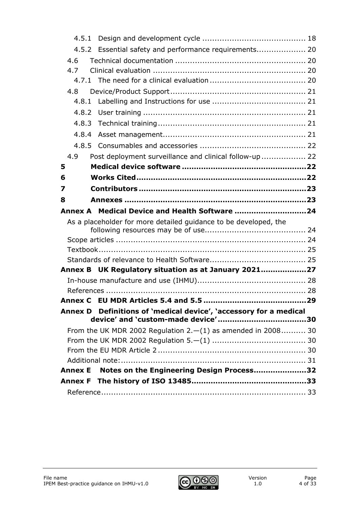| 4.5.1          |                                                                   |  |
|----------------|-------------------------------------------------------------------|--|
|                | 4.5.2 Essential safety and performance requirements 20            |  |
| 4.6            |                                                                   |  |
| 4.7            |                                                                   |  |
|                |                                                                   |  |
| 4.8            |                                                                   |  |
|                |                                                                   |  |
| 4.8.2          |                                                                   |  |
|                |                                                                   |  |
| 4.8.4          |                                                                   |  |
|                |                                                                   |  |
| 4.9            | Post deployment surveillance and clinical follow-up  22           |  |
| 5              |                                                                   |  |
| 6              |                                                                   |  |
| 7              |                                                                   |  |
| 8              |                                                                   |  |
|                |                                                                   |  |
|                | Annex A Medical Device and Health Software 24                     |  |
|                | As a placeholder for more detailed guidance to be developed, the  |  |
|                |                                                                   |  |
|                |                                                                   |  |
|                |                                                                   |  |
|                |                                                                   |  |
|                | Annex B UK Regulatory situation as at January 202127              |  |
|                |                                                                   |  |
|                |                                                                   |  |
|                | Annex D Definitions of 'medical device', 'accessory for a medical |  |
|                |                                                                   |  |
|                | From the UK MDR 2002 Regulation $2.-(1)$ as amended in 2008 30    |  |
|                |                                                                   |  |
|                |                                                                   |  |
|                |                                                                   |  |
| <b>Annex E</b> | Notes on the Engineering Design Process32                         |  |
|                |                                                                   |  |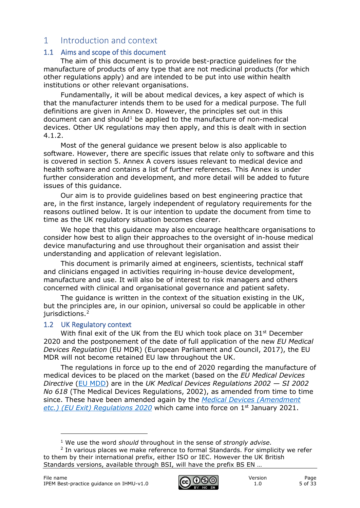## <span id="page-4-0"></span>1 Introduction and context

#### <span id="page-4-1"></span>1.1 Aims and scope of this document

The aim of this document is to provide best-practice guidelines for the manufacture of products of any type that are not medicinal products (for which other regulations apply) and are intended to be put into use within health institutions or other relevant organisations.

Fundamentally, it will be about medical devices, a key aspect of which is that the manufacturer intends them to be used for a medical purpose. The full definitions are given in Annex D. However, the principles set out in this document can and should<sup>[1](#page-4-3)</sup> be applied to the manufacture of non-medical devices. Other UK regulations may then apply, and this is dealt with in section 4.1.2.

Most of the general guidance we present below is also applicable to software. However, there are specific issues that relate only to software and this is covered in section 5. Annex A covers issues relevant to medical device and health software and contains a list of further references. This Annex is under further consideration and development, and more detail will be added to future issues of this guidance.

Our aim is to provide guidelines based on best engineering practice that are, in the first instance, largely independent of regulatory requirements for the reasons outlined below. It is our intention to update the document from time to time as the UK regulatory situation becomes clearer.

We hope that this guidance may also encourage healthcare organisations to consider how best to align their approaches to the oversight of in-house medical device manufacturing and use throughout their organisation and assist their understanding and application of relevant legislation.

This document is primarily aimed at engineers, scientists, technical staff and clinicians engaged in activities requiring in-house device development, manufacture and use. It will also be of interest to risk managers and others concerned with clinical and organisational governance and patient safety.

The guidance is written in the context of the situation existing in the UK, but the principles are, in our opinion, universal so could be applicable in other jurisdictions.<sup>[2](#page-4-4)</sup>

#### <span id="page-4-2"></span>1.2 UK Regulatory context

With final exit of the UK from the EU which took place on 31<sup>st</sup> December 2020 and the postponement of the date of full application of the new *EU Medical Devices Regulation* (EU MDR) (European Parliament and Council, 2017), the EU MDR will not become retained EU law throughout the UK.

The regulations in force up to the end of 2020 regarding the manufacture of medical devices to be placed on the market (based on the *EU Medical Devices Directive* [\(EU MDD\)](http://eur-lex.europa.eu/LexUriServ/LexUriServ.do?uri=CONSLEG:1993L0042:20071011:en:PDF) are in the *UK Medical Devices Regulations 2002 — SI 2002 No 618* (The Medical Devices Regulations, 2002), as amended from time to time since. These have been amended again by the *[Medical Devices \(Amendment](https://www.legislation.gov.uk/ukdsi/2020/9780348213805/contents)  [etc.\) \(EU Exit\) Regulations 2020](https://www.legislation.gov.uk/ukdsi/2020/9780348213805/contents)* which came into force on 1st January 2021.



<sup>1</sup> We use the word *should* throughout in the sense of *strongly advise*.

<span id="page-4-4"></span><span id="page-4-3"></span> $2$  In various places we make reference to formal Standards. For simplicity we refer to them by their international prefix, either ISO or IEC. However the UK British Standards versions, available through BSI, will have the prefix BS EN …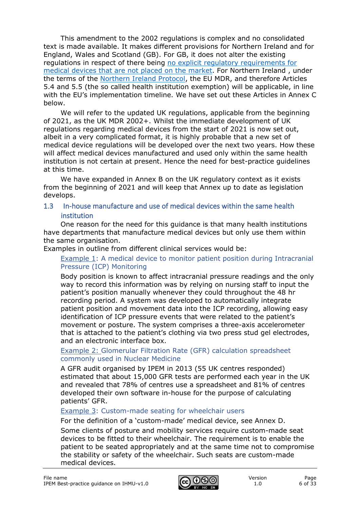This amendment to the 2002 regulations is complex and no consolidated text is made available. It makes different provisions for Northern Ireland and for England, Wales and Scotland (GB). For GB, it does not alter the existing regulations in respect of there being [no explicit regulatory requirements for](https://www.gov.uk/government/publications/in-house-manufacture-of-medical-devices/in-house-manufacture-of-medical-devices)  medical [devices that are not placed on the market.](https://www.gov.uk/government/publications/in-house-manufacture-of-medical-devices/in-house-manufacture-of-medical-devices) For Northern Ireland , under the terms of the [Northern Ireland Protocol,](https://assets.publishing.service.gov.uk/government/uploads/system/uploads/attachment_data/file/840230/Revised_Protocol_to_the_Withdrawal_Agreement.pdf) the EU MDR, and therefore Articles 5.4 and 5.5 (the so called health institution exemption) will be applicable, in line with the EU's implementation timeline. We have set out these Articles in Annex C below.

We will refer to the updated UK regulations, applicable from the beginning of 2021, as the UK MDR 2002+. Whilst the immediate development of UK regulations regarding medical devices from the start of 2021 is now set out, albeit in a very complicated format, it is highly probable that a new set of medical device regulations will be developed over the next two years. How these will affect medical devices manufactured and used only within the same health institution is not certain at present. Hence the need for best-practice guidelines at this time.

We have expanded in Annex B on the UK regulatory context as it exists from the beginning of 2021 and will keep that Annex up to date as legislation develops.

#### <span id="page-5-0"></span>1.3 In-house manufacture and use of medical devices within the same health institution

One reason for the need for this guidance is that many health institutions have departments that manufacture medical devices but only use them within the same organisation.

Examples in outline from different clinical services would be:

#### Example 1: A medical device to monitor patient position during Intracranial Pressure (ICP) Monitoring

Body position is known to affect intracranial pressure readings and the only way to record this information was by relying on nursing staff to input the patient's position manually whenever they could throughout the 48 hr recording period. A system was developed to automatically integrate patient position and movement data into the ICP recording, allowing easy identification of ICP pressure events that were related to the patient's movement or posture. The system comprises a three-axis accelerometer that is attached to the patient's clothing via two press stud gel electrodes, and an electronic interface box.

#### Example 2: Glomerular Filtration Rate (GFR) calculation spreadsheet commonly used in Nuclear Medicine

A GFR audit organised by IPEM in 2013 (55 UK centres responded) estimated that about 15,000 GFR tests are performed each year in the UK and revealed that 78% of centres use a spreadsheet and 81% of centres developed their own software in-house for the purpose of calculating patients' GFR.

#### Example 3: Custom-made seating for wheelchair users

For the definition of a 'custom-made' medical device, see Annex D.

Some clients of posture and mobility services require custom-made seat devices to be fitted to their wheelchair. The requirement is to enable the patient to be seated appropriately and at the same time not to compromise the stability or safety of the wheelchair. Such seats are custom-made medical devices.

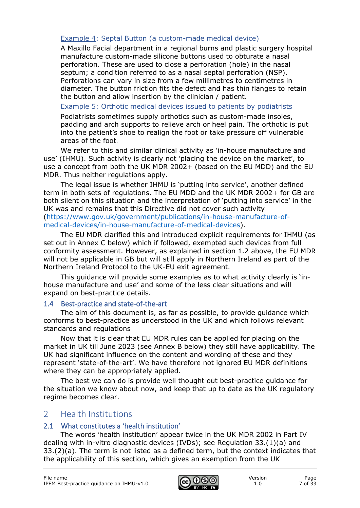### Example 4: Septal Button (a custom-made medical device)

A Maxillo Facial department in a regional burns and plastic surgery hospital manufacture custom-made silicone buttons used to obturate a nasal perforation. These are used to close a perforation (hole) in the nasal septum; a condition referred to as a nasal septal perforation (NSP). Perforations can vary in size from a few millimetres to centimetres in diameter. The button friction fits the defect and has thin flanges to retain the button and allow insertion by the clinician / patient.

Example 5: Orthotic medical devices issued to patients by podiatrists

Podiatrists sometimes supply orthotics such as custom-made insoles, padding and arch supports to relieve arch or [heel pain.](https://www.nhs.uk/conditions/heel-pain/) The orthotic is put into the patient's shoe to realign the foot or take pressure off vulnerable areas of the foot.

We refer to this and similar clinical activity as 'in-house manufacture and use' (IHMU). Such activity is clearly not 'placing the device on the market', to use a concept from both the UK MDR 2002+ (based on the EU MDD) and the EU MDR. Thus neither regulations apply.

The legal issue is whether IHMU is 'putting into service', another defined term in both sets of regulations. The EU MDD and the UK MDR 2002+ for GB are both silent on this situation and the interpretation of 'putting into service' in the UK was and remains that this Directive did not cover such activity [\(https://www.gov.uk/government/publications/in-house-manufacture-of](https://www.gov.uk/government/publications/in-house-manufacture-of-medical-devices/in-house-manufacture-of-medical-devices)[medical-devices/in-house-manufacture-of-medical-devices\)](https://www.gov.uk/government/publications/in-house-manufacture-of-medical-devices/in-house-manufacture-of-medical-devices).

The EU MDR clarified this and introduced explicit requirements for IHMU (as set out in Annex C below) which if followed, exempted such devices from full conformity assessment. However, as explained in section 1.2 above, the EU MDR will not be applicable in GB but will still apply in Northern Ireland as part of the Northern Ireland Protocol to the UK-EU exit agreement.

This guidance will provide some examples as to what activity clearly is 'inhouse manufacture and use' and some of the less clear situations and will expand on best-practice details.

#### <span id="page-6-0"></span>1.4 Best-practice and state-of-the-art

The aim of this document is, as far as possible, to provide guidance which conforms to best-practice as understood in the UK and which follows relevant standards and regulations

Now that it is clear that EU MDR rules can be applied for placing on the market in UK till June 2023 (see Annex B below) they still have applicability. The UK had significant influence on the content and wording of these and they represent 'state-of-the-art'. We have therefore not ignored EU MDR definitions where they can be appropriately applied.

The best we can do is provide well thought out best-practice guidance for the situation we know about now, and keep that up to date as the UK regulatory regime becomes clear.

## <span id="page-6-1"></span>2 Health Institutions

#### <span id="page-6-2"></span>2.1 What constitutes a 'health institution'

The words 'health institution' appear twice in the UK MDR 2002 in Part IV dealing with in-vitro diagnostic devices (IVDs); see Regulation 33.(1)(a) and 33.(2)(a). The term is not listed as a defined term, but the context indicates that the applicability of this section, which gives an exemption from the UK

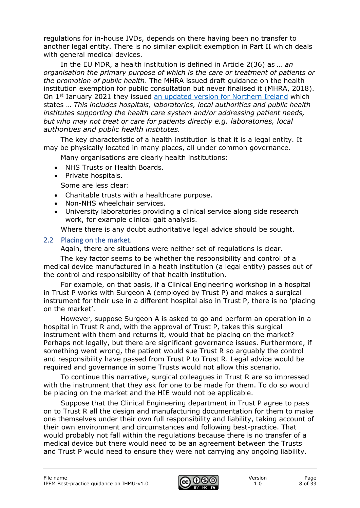regulations for in-house IVDs, depends on there having been no transfer to another legal entity. There is no similar explicit exemption in Part II which deals with general medical devices.

In the EU MDR, a health institution is defined in Article 2(36) as *… an organisation the primary purpose of which is the care or treatment of patients or the promotion of public health*. The MHRA issued draft guidance on the health institution exemption for public consultation but never finalised it (MHRA, 2018). On 1<sup>st</sup> January 2021 they issued [an updated version for Northern Ireland](https://www.gov.uk/government/publications/mhra-guidance-on-the-health-institution-exemption-hie-ivdr-and-mdr-northern-ireland?utm_source=d589d63d-c714-44d5-8989-9e9812037a5b&utm_medium=email&utm_campaign=govuk-notifications&utm_content=daily) which states … *This includes hospitals, laboratories, local authorities and public health institutes supporting the health care system and/or addressing patient needs, but who may not treat or care for patients directly e.g. laboratories, local authorities and public health institutes.*

The key characteristic of a health institution is that it is a legal entity. It may be physically located in many places, all under common governance.

Many organisations are clearly health institutions:

- NHS Trusts or Health Boards.
- Private hospitals.

Some are less clear:

- Charitable trusts with a healthcare purpose.
- Non-NHS wheelchair services.
- University laboratories providing a clinical service along side research work, for example clinical gait analysis.

Where there is any doubt authoritative legal advice should be sought.

#### <span id="page-7-0"></span>2.2 Placing on the market.

Again, there are situations were neither set of regulations is clear.

The key factor seems to be whether the responsibility and control of a medical device manufactured in a heath institution (a legal entity) passes out of the control and responsibility of that health institution.

For example, on that basis, if a Clinical Engineering workshop in a hospital in Trust P works with Surgeon A (employed by Trust P) and makes a surgical instrument for their use in a different hospital also in Trust P, there is no 'placing on the market'.

However, suppose Surgeon A is asked to go and perform an operation in a hospital in Trust R and, with the approval of Trust P, takes this surgical instrument with them and returns it, would that be placing on the market? Perhaps not legally, but there are significant governance issues. Furthermore, if something went wrong, the patient would sue Trust R so arguably the control and responsibility have passed from Trust P to Trust R. Legal advice would be required and governance in some Trusts would not allow this scenario.

To continue this narrative, surgical colleagues in Trust R are so impressed with the instrument that they ask for one to be made for them. To do so would be placing on the market and the HIE would not be applicable.

Suppose that the Clinical Engineering department in Trust P agree to pass on to Trust R all the design and manufacturing documentation for them to make one themselves under their own full responsibility and liability, taking account of their own environment and circumstances and following best-practice. That would probably not fall within the regulations because there is no transfer of a medical device but there would need to be an agreement between the Trusts and Trust P would need to ensure they were not carrying any ongoing liability.

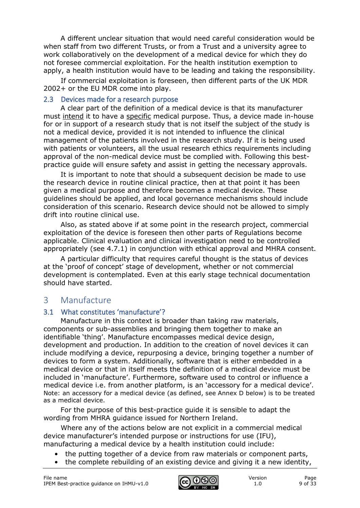A different unclear situation that would need careful consideration would be when staff from two different Trusts, or from a Trust and a university agree to work collaboratively on the development of a medical device for which they do not foresee commercial exploitation. For the health institution exemption to apply, a health institution would have to be leading and taking the responsibility.

If commercial exploitation is foreseen, then different parts of the UK MDR 2002+ or the EU MDR come into play.

#### <span id="page-8-0"></span>2.3 Devices made for a research purpose

A clear part of the definition of a medical device is that its manufacturer must intend it to have a specific medical purpose. Thus, a device made in-house for or in support of a research study that is not itself the subject of the study is not a medical device, provided it is not intended to influence the clinical management of the patients involved in the research study. If it is being used with patients or volunteers, all the usual research ethics requirements including approval of the non-medical device must be complied with. Following this bestpractice guide will ensure safety and assist in getting the necessary approvals.

It is important to note that should a subsequent decision be made to use the research device in routine clinical practice, then at that point it has been given a medical purpose and therefore becomes a medical device. These guidelines should be applied, and local governance mechanisms should include consideration of this scenario. Research device should not be allowed to simply drift into routine clinical use.

Also, as stated above if at some point in the research project, commercial exploitation of the device is foreseen then other parts of Regulations become applicable. Clinical evaluation and clinical investigation need to be controlled appropriately (see 4.7.1) in conjunction with ethical approval and MHRA consent.

A particular difficulty that requires careful thought is the status of devices at the 'proof of concept' stage of development, whether or not commercial development is contemplated. Even at this early stage technical documentation should have started.

## <span id="page-8-1"></span>3 Manufacture

#### <span id="page-8-2"></span>3.1 What constitutes 'manufacture'?

Manufacture in this context is broader than taking raw materials, components or sub-assemblies and bringing them together to make an identifiable 'thing'. Manufacture encompasses medical device design, development and production. In addition to the creation of novel devices it can include modifying a device, repurposing a device, bringing together a number of devices to form a system. Additionally, software that is either embedded in a medical device or that in itself meets the definition of a medical device must be included in 'manufacture'. Furthermore, software used to control or influence a medical device i.e. from another platform, is an 'accessory for a medical device'. Note: an accessory for a medical device (as defined, see Annex D below) is to be treated as a medical device.

For the purpose of this best-practice guide it is sensible to adapt the wording from MHRA guidance issued for Northern Ireland.

Where any of the actions below are not explicit in a commercial medical device manufacturer's intended purpose or instructions for use (IFU), manufacturing a medical device by a health institution could include:

- the putting together of a device from raw materials or component parts,
- the complete rebuilding of an existing device and giving it a new identity,

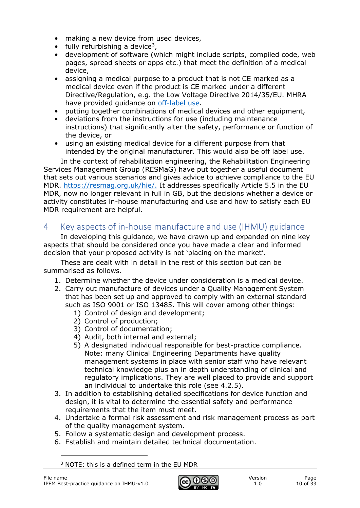- making a new device from used devices,
- fully refurbishing a device<sup>3</sup>,
- development of software (which might include scripts, compiled code, web pages, spread sheets or apps etc.) that meet the definition of a medical device,
- assigning a medical purpose to a product that is not CE marked as a medical device even if the product is CE marked under a different Directive/Regulation, e.g. the Low Voltage Directive 2014/35/EU. MHRA have provided guidance on [off-label use.](https://www.gov.uk/government/publications/medical-devices-off-label-use/off-label-use-of-a-medical-device)
- putting together combinations of medical devices and other equipment,
- deviations from the instructions for use (including maintenance instructions) that significantly alter the safety, performance or function of the device, or
- using an existing medical device for a different purpose from that intended by the original manufacturer. This would also be off label use.

In the context of rehabilitation engineering, the Rehabilitation Engineering Services Management Group (RESMaG) have put together a useful document that sets out various scenarios and gives advice to achieve compliance to the EU MDR. [https://resmag.org.uk/hie/.](https://resmag.org.uk/hie/) It addresses specifically Article 5.5 in the EU MDR, now no longer relevant in full in GB, but the decisions whether a device or activity constitutes in-house manufacturing and use and how to satisfy each EU MDR requirement are helpful.

# <span id="page-9-0"></span>4 Key aspects of in-house manufacture and use (IHMU) guidance

In developing this guidance, we have drawn up and expanded on nine key aspects that should be considered once you have made a clear and informed decision that your proposed activity is not 'placing on the market'.

These are dealt with in detail in the rest of this section but can be summarised as follows.

- 1. Determine whether the device under consideration is a medical device.
- 2. Carry out manufacture of devices under a Quality Management System that has been set up and approved to comply with an external standard such as ISO 9001 or ISO 13485. This will cover among other things:
	- 1) Control of design and development;
	- 2) Control of production;
	- 3) Control of documentation;
	- 4) Audit, both internal and external;
	- 5) A designated individual responsible for best-practice compliance. Note: many Clinical Engineering Departments have quality management systems in place with senior staff who have relevant technical knowledge plus an in depth understanding of clinical and regulatory implications. They are well placed to provide and support an individual to undertake this role (see 4.2.5).
- 3. In addition to establishing detailed specifications for device function and design, it is vital to determine the essential safety and performance requirements that the item must meet.
- 4. Undertake a formal risk assessment and risk management process as part of the quality management system.
- 5. Follow a systematic design and development process.
- 6. Establish and maintain detailed technical documentation.

<span id="page-9-1"></span><sup>3</sup> NOTE: this is a defined term in the EU MDR

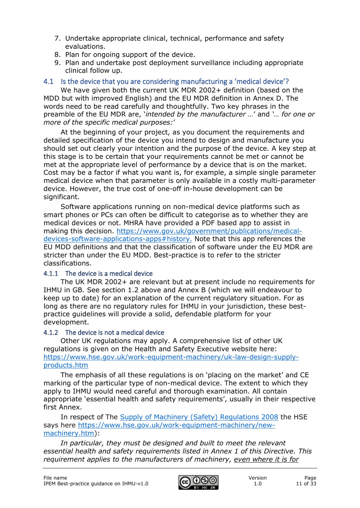- 7. Undertake appropriate clinical, technical, performance and safety evaluations.
- 8. Plan for ongoing support of the device.
- 9. Plan and undertake post deployment surveillance including appropriate clinical follow up.

## <span id="page-10-0"></span>4.1 Is the device that you are considering manufacturing a 'medical device'?

We have given both the current UK MDR 2002+ definition (based on the MDD but with improved English) and the EU MDR definition in Annex D. The words need to be read carefully and thoughtfully. Two key phrases in the preamble of the EU MDR are, '*intended by the manufacturer …*' and *'… for one or more of the specific medical purposes:*'

At the beginning of your project, as you document the requirements and detailed specification of the device you intend to design and manufacture you should set out clearly your intention and the purpose of the device. A key step at this stage is to be certain that your requirements cannot be met or cannot be met at the appropriate level of performance by a device that is on the market. Cost may be a factor if what you want is, for example, a simple single parameter medical device when that parameter is only available in a costly multi-parameter device. However, the true cost of one-off in-house development can be significant.

Software applications running on non-medical device platforms such as smart phones or PCs can often be difficult to categorise as to whether they are medical devices or not. MHRA have provided a PDF based app to assist in making this decision. [https://www.gov.uk/government/publications/medical](https://www.gov.uk/government/publications/medical-devices-software-applications-apps#history)[devices-software-applications-apps#history.](https://www.gov.uk/government/publications/medical-devices-software-applications-apps#history) Note that this app references the EU MDD definitions and that the classification of software under the EU MDR are stricter than under the EU MDD. Best-practice is to refer to the stricter classifications.

#### <span id="page-10-1"></span>4.1.1 The device is a medical device

The UK MDR 2002+ are relevant but at present include no requirements for IHMU in GB. See section 1.2 above and Annex B (which we will endeavour to keep up to date) for an explanation of the current regulatory situation. For as long as there are no regulatory rules for IHMU in your jurisdiction, these bestpractice guidelines will provide a solid, defendable platform for your development.

#### <span id="page-10-2"></span>4.1.2 The device is not a medical device

Other UK regulations may apply. A comprehensive list of other UK regulations is given on the Health and Safety Executive website here: [https://www.hse.gov.uk/work-equipment-machinery/uk-law-design-supply](https://www.hse.gov.uk/work-equipment-machinery/uk-law-design-supply-products.htm)[products.htm](https://www.hse.gov.uk/work-equipment-machinery/uk-law-design-supply-products.htm)

The emphasis of all these regulations is on 'placing on the market' and CE marking of the particular type of non-medical device. The extent to which they apply to IHMU would need careful and thorough examination. All contain appropriate 'essential health and safety requirements', usually in their respective first Annex.

In respect of The [Supply of Machinery \(Safety\) Regulations 2008](https://www.hse.gov.uk/work-equipment-machinery/new-machinery.htm) the HSE says here [https://www.hse.gov.uk/work-equipment-machinery/new](https://www.hse.gov.uk/work-equipment-machinery/new-machinery.htm)[machinery.htm\)](https://www.hse.gov.uk/work-equipment-machinery/new-machinery.htm):

*In particular, they must be designed and built to meet the relevant essential health and safety requirements listed in Annex 1 of this Directive. This requirement applies to the manufacturers of machinery, even where it is for* 

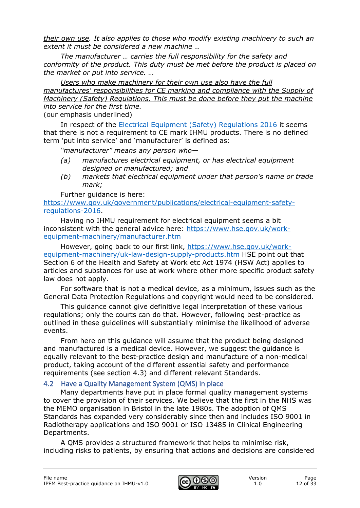*their own use. It also applies to those who modify existing machinery to such an extent it must be considered a new machine …*

*The manufacturer … carries the full responsibility for the safety and conformity of the product. This duty must be met before the product is placed on the market or put into service. …*

*Users who make machinery for their own use also have the full manufactures' responsibilities for CE marking and compliance with the Supply of Machinery (Safety) Regulations. This must be done before they put the machine into service for the first time.*

(our emphasis underlined)

In respect of the [Electrical Equipment \(Safety\) Regulations 2016](http://www.legislation.gov.uk/uksi/2016/1101/pdfs/uksi_20161101_en.pdf) it seems that there is not a requirement to CE mark IHMU products. There is no defined term 'put into service' and 'manufacturer' is defined as:

*"manufacturer" means any person who—*

- *(a) manufactures electrical equipment, or has electrical equipment designed or manufactured; and*
- *(b) markets that electrical equipment under that person's name or trade mark;*

Further guidance is here:

[https://www.gov.uk/government/publications/electrical-equipment-safety](https://www.gov.uk/government/publications/electrical-equipment-safety-regulations-2016)[regulations-2016.](https://www.gov.uk/government/publications/electrical-equipment-safety-regulations-2016)

Having no IHMU requirement for electrical equipment seems a bit inconsistent with the general advice here: [https://www.hse.gov.uk/work](https://www.hse.gov.uk/work-equipment-machinery/manufacturer.htm)[equipment-machinery/manufacturer.htm](https://www.hse.gov.uk/work-equipment-machinery/manufacturer.htm)

However, going back to our first link, [https://www.hse.gov.uk/work](https://www.hse.gov.uk/work-equipment-machinery/uk-law-design-supply-products.htm)[equipment-machinery/uk-law-design-supply-products.htm](https://www.hse.gov.uk/work-equipment-machinery/uk-law-design-supply-products.htm) HSE point out that Section 6 of the Health and Safety at Work etc Act 1974 (HSW Act) applies to articles and substances for use at work where other more specific product safety law does not apply.

For software that is not a medical device, as a minimum, issues such as the General Data Protection Regulations and copyright would need to be considered.

This guidance cannot give definitive legal interpretation of these various regulations; only the courts can do that. However, following best-practice as outlined in these guidelines will substantially minimise the likelihood of adverse events.

From here on this guidance will assume that the product being designed and manufactured is a medical device. However, we suggest the guidance is equally relevant to the best-practice design and manufacture of a non-medical product, taking account of the different essential safety and performance requirements (see section 4.3) and different relevant Standards.

## <span id="page-11-0"></span>4.2 Have a Quality Management System (QMS) in place

Many departments have put in place formal quality management systems to cover the provision of their services. We believe that the first in the NHS was the MEMO organisation in Bristol in the late 1980s. The adoption of QMS Standards has expanded very considerably since then and includes ISO 9001 in Radiotherapy applications and ISO 9001 or ISO 13485 in Clinical Engineering Departments.

A QMS provides a structured framework that helps to minimise risk, including risks to patients, by ensuring that actions and decisions are considered

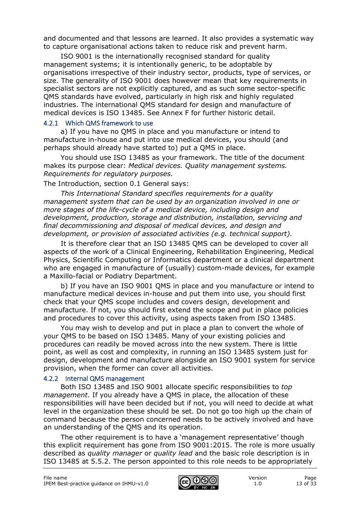and documented and that lessons are learned. It also provides a systematic way to capture organisational actions taken to reduce risk and prevent harm.

ISO 9001 is the internationally recognised standard for quality management systems; it is intentionally generic, to be adoptable by organisations irrespective of their industry sector, products, type of services, or size. The generality of ISO 9001 does however mean that key requirements in specialist sectors are not explicitly captured, and as such some sector-specific QMS standards have evolved, particularly in high risk and highly regulated industries. The international QMS standard for design and manufacture of medical devices is ISO 13485. See Annex F for further historic detail.

#### <span id="page-12-0"></span>4.2.1 Which QMS framework to use

a) If you have no QMS in place and you manufacture or intend to manufacture in-house and put into use medical devices, you should (and perhaps should already have started to) put a QMS in place.

You should use ISO 13485 as your framework. The title of the document makes its purpose clear: *Medical devices. Quality management systems. Requirements for regulatory purposes.*

## The Introduction, section 0.1 General says:

*This International Standard specifies requirements for a quality management system that can be used by an organization involved in one or more stages of the life-cycle of a medical device, including design and development, production, storage and distribution, installation, servicing and final decommissioning and disposal of medical devices, and design and development, or provision of associated activities (e.g. technical support).*

It is therefore clear that an ISO 13485 QMS can be developed to cover all aspects of the work of a Clinical Engineering, Rehabilitation Engineering, Medical Physics, Scientific Computing or Informatics department or a clinical department who are engaged in manufacture of (usually) custom-made devices, for example a Maxillo-facial or Podiatry Department.

b) If you have an ISO 9001 QMS in place and you manufacture or intend to manufacture medical devices in-house and put them into use, you should first check that your QMS scope includes and covers design, development and manufacture. If not, you should first extend the scope and put in place policies and procedures to cover this activity, using aspects taken from ISO 13485.

You may wish to develop and put in place a plan to convert the whole of your QMS to be based on ISO 13485. Many of your existing policies and procedures can readily be moved across into the new system. There is little point, as well as cost and complexity, in running an ISO 13485 system just for design, development and manufacture alongside an ISO 9001 system for service provision, when the former can cover all activities.

## <span id="page-12-1"></span>4.2.2 Internal QMS management

Both ISO 13485 and ISO 9001 allocate specific responsibilities to *top management*. If you already have a QMS in place, the allocation of these responsibilities will have been decided but if not, you will need to decide at what level in the organization these should be set. Do not go too high up the chain of command because the person concerned needs to be actively involved and have an understanding of the QMS and its operation.

The other requirement is to have a 'management representative' though this explicit requirement has gone from ISO 9001:2015. The role is more usually described as *quality manager* or *quality lead* and the basic role description is in ISO 13485 at 5.5.2. The person appointed to this role needs to be appropriately

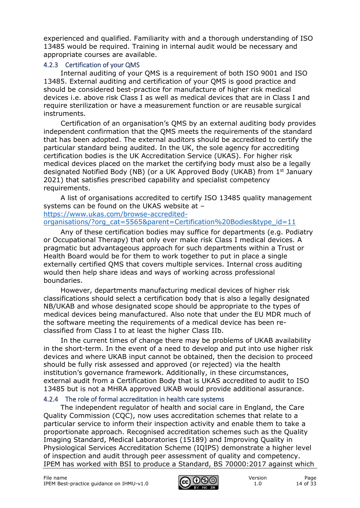experienced and qualified. Familiarity with and a thorough understanding of ISO 13485 would be required. Training in internal audit would be necessary and appropriate courses are available.

#### <span id="page-13-0"></span>4.2.3 Certification of your QMS

Internal auditing of your QMS is a requirement of both ISO 9001 and ISO 13485. External auditing and certification of your QMS is good practice and should be considered best-practice for manufacture of higher risk medical devices i.e. above risk Class I as well as medical devices that are in Class I and require sterilization or have a measurement function or are reusable surgical instruments.

Certification of an organisation's QMS by an external auditing body provides independent confirmation that the QMS meets the requirements of the standard that has been adopted. The external auditors should be accredited to certify the particular standard being audited. In the UK, the sole agency for accrediting certification bodies is the UK Accreditation Service (UKAS). For higher risk medical devices placed on the market the certifying body must also be a legally designated Notified Body (NB) (or a UK Approved Body (UKAB) from 1st January 2021) that satisfies prescribed capability and specialist competency requirements.

A list of organisations accredited to certify ISO 13485 quality management systems can be found on the UKAS website at –

[https://www.ukas.com/browse-accredited](https://www.ukas.com/browse-accredited-organisations/?org_cat=5565&parent=Certification%20Bodies&type_id=11)[organisations/?org\\_cat=5565&parent=Certification%20Bodies&type\\_id=11](https://www.ukas.com/browse-accredited-organisations/?org_cat=5565&parent=Certification%20Bodies&type_id=11)

Any of these certification bodies may suffice for departments (e.g. Podiatry or Occupational Therapy) that only ever make risk Class I medical devices. A pragmatic but advantageous approach for such departments within a Trust or Health Board would be for them to work together to put in place a single externally certified QMS that covers multiple services. Internal cross auditing would then help share ideas and ways of working across professional boundaries.

However, departments manufacturing medical devices of higher risk classifications should select a certification body that is also a legally designated NB/UKAB and whose designated scope should be appropriate to the types of medical devices being manufactured. Also note that under the EU MDR much of the software meeting the requirements of a medical device has been reclassified from Class I to at least the higher Class IIb.

In the current times of change there may be problems of UKAB availability in the short-term. In the event of a need to develop and put into use higher risk devices and where UKAB input cannot be obtained, then the decision to proceed should be fully risk assessed and approved (or rejected) via the health institution's governance framework. Additionally, in these circumstances, external audit from a Certification Body that is UKAS accredited to audit to ISO 13485 but is not a MHRA approved UKAB would provide additional assurance.

#### <span id="page-13-1"></span>4.2.4 The role of formal accreditation in health care systems

The independent regulator of health and social care in England, the Care Quality Commission (CQC), now uses accreditation schemes that relate to a particular service to inform their inspection activity and enable them to take a proportionate approach. Recognised accreditation schemes such as the Quality Imaging Standard, Medical Laboratories (15189) and Improving Quality in Physiological Services Accreditation Scheme (IQIPS) demonstrate a higher level of inspection and audit through peer assessment of quality and competency. IPEM has worked with BSI to produce a Standard, BS 70000:2017 against which

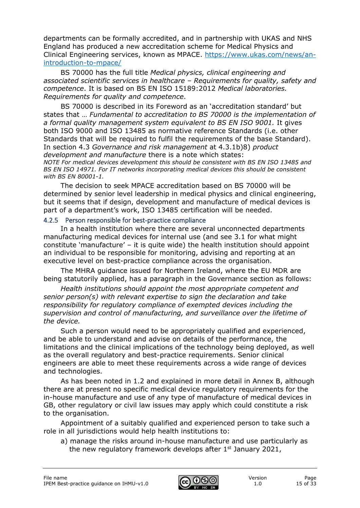departments can be formally accredited, and in partnership with UKAS and NHS England has produced a new accreditation scheme for Medical Physics and Clinical Engineering services, known as MPACE. [https://www.ukas.com/news/an](https://www.ukas.com/news/an-introduction-to-mpace/)[introduction-to-mpace/](https://www.ukas.com/news/an-introduction-to-mpace/)

BS 70000 has the full title *Medical physics, clinical engineering and associated scientific services in healthcare – Requirements for quality, safety and competence*. It is based on BS EN ISO 15189:2012 *Medical laboratories. Requirements for quality and competence*.

BS 70000 is described in its Foreword as an 'accreditation standard' but states that … *Fundamental to accreditation to BS 70000 is the implementation of a formal quality management system equivalent to BS EN ISO 9001.* It gives both ISO 9000 and ISO 13485 as normative reference Standards (i.e. other Standards that will be required to fulfil the requirements of the base Standard). In section 4.3 *Governance and risk management* at 4.3.1b)8) *product development and manufacture* there is a note which states:

*NOTE For medical devices development this should be consistent with BS EN ISO 13485 and BS EN ISO 14971. For IT networks incorporating medical devices this should be consistent with BS EN 80001-1.*

The decision to seek MPACE accreditation based on BS 70000 will be determined by senior level leadership in medical physics and clinical engineering, but it seems that if design, development and manufacture of medical devices is part of a department's work, ISO 13485 certification will be needed.

#### <span id="page-14-0"></span>4.2.5 Person responsible for best-practice compliance

In a health institution where there are several unconnected departments manufacturing medical devices for internal use (and see 3.1 for what might constitute 'manufacture' – it is quite wide) the health institution should appoint an individual to be responsible for monitoring, advising and reporting at an executive level on best-practice compliance across the organisation.

The MHRA guidance issued for Northern Ireland, where the EU MDR are being statutorily applied, has a paragraph in the Governance section as follows:

*Health institutions should appoint the most appropriate competent and senior person(s) with relevant expertise to sign the declaration and take responsibility for regulatory compliance of exempted devices including the supervision and control of manufacturing, and surveillance over the lifetime of the device.*

Such a person would need to be appropriately qualified and experienced, and be able to understand and advise on details of the performance, the limitations and the clinical implications of the technology being deployed, as well as the overall regulatory and best-practice requirements. Senior clinical engineers are able to meet these requirements across a wide range of devices and technologies.

As has been noted in 1.2 and explained in more detail in Annex B, although there are at present no specific medical device regulatory requirements for the in-house manufacture and use of any type of manufacture of medical devices in GB, other regulatory or civil law issues may apply which could constitute a risk to the organisation.

Appointment of a suitably qualified and experienced person to take such a role in all jurisdictions would help health institutions to:

a) manage the risks around in-house manufacture and use particularly as the new regulatory framework develops after  $1<sup>st</sup>$  January 2021,

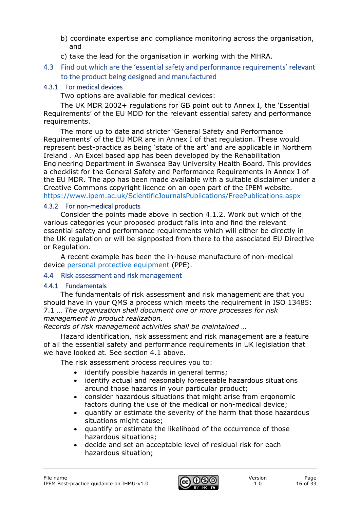- b) coordinate expertise and compliance monitoring across the organisation, and
- c) take the lead for the organisation in working with the MHRA.
- <span id="page-15-0"></span>4.3 Find out which are the 'essential safety and performance requirements' relevant to the product being designed and manufactured

### <span id="page-15-1"></span>4.3.1 For medical devices

Two options are available for medical devices:

The UK MDR 2002+ regulations for GB point out to Annex I, the 'Essential Requirements' of the EU MDD for the relevant essential safety and performance requirements.

The more up to date and stricter 'General Safety and Performance Requirements' of the EU MDR are in Annex I of that regulation. These would represent best-practice as being 'state of the art' and are applicable in Northern Ireland . An Excel based app has been developed by the Rehabilitation Engineering Department in Swansea Bay University Health Board. This provides a checklist for the General Safety and Performance Requirements in Annex I of the EU MDR. The app has been made available with a suitable disclaimer under a Creative Commons copyright licence on an open part of the IPEM website. <https://www.ipem.ac.uk/ScientificJournalsPublications/FreePublications.aspx>

#### <span id="page-15-2"></span>4.3.2 For non-medical products

Consider the points made above in section 4.1.2. Work out which of the various categories your proposed product falls into and find the relevant essential safety and performance requirements which will either be directly in the UK regulation or will be signposted from there to the associated EU Directive or Regulation.

A recent example has been the in-house manufacture of non-medical device [personal protective equipment](https://assets.publishing.service.gov.uk/government/uploads/system/uploads/attachment_data/file/878115/opss-covid-19-guidance-to-businesses-high-volume-manufacture-of-ppe-version-1.pdf) (PPE).

## <span id="page-15-3"></span>4.4 Risk assessment and risk management

## <span id="page-15-4"></span>4.4.1 Fundamentals

The fundamentals of risk assessment and risk management are that you should have in your QMS a process which meets the requirement in ISO 13485: 7.1 … *The organization shall document one or more processes for risk management in product realization.* 

*Records of risk management activities shall be maintained …*

Hazard identification, risk assessment and risk management are a feature of all the essential safety and performance requirements in UK legislation that we have looked at. See section 4.1 above.

The risk assessment process requires you to:

- identify possible hazards in general terms;
- identify actual and reasonably foreseeable hazardous situations around those hazards in your particular product;
- consider hazardous situations that might arise from ergonomic factors during the use of the medical or non-medical device;
- quantify or estimate the severity of the harm that those hazardous situations might cause;
- quantify or estimate the likelihood of the occurrence of those hazardous situations;
- decide and set an acceptable level of residual risk for each hazardous situation;

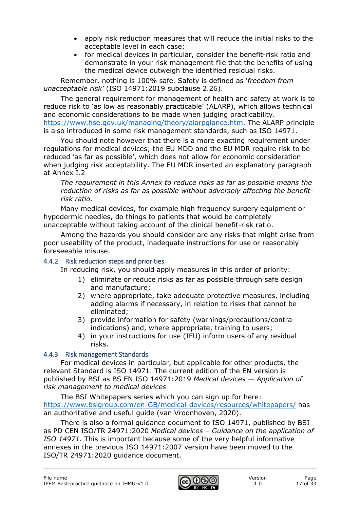- apply risk reduction measures that will reduce the initial risks to the acceptable level in each case;
- for medical devices in particular, consider the benefit-risk ratio and demonstrate in your risk management file that the benefits of using the medical device outweigh the identified residual risks.

Remember, nothing is 100% safe. Safety is defined as '*freedom from unacceptable risk'* (ISO 14971:2019 subclause 2.26).

The general requirement for management of health and safety at work is to reduce risk to 'as low as reasonably practicable' (ALARP), which allows technical and economic considerations to be made when judging practicability. [https://www.hse.gov.uk/managing/theory/alarpglance.htm.](https://www.hse.gov.uk/managing/theory/alarpglance.htm) The ALARP principle is also introduced in some risk management standards, such as ISO 14971.

You should note however that there is a more exacting requirement under regulations for medical devices; the EU MDD and the EU MDR require risk to be reduced 'as far as possible', which does not allow for economic consideration when judging risk acceptability. The EU MDR inserted an explanatory paragraph at Annex I.2

*The requirement in this Annex to reduce risks as far as possible means the reduction of risks as far as possible without adversely affecting the benefitrisk ratio.*

Many medical devices, for example high frequency surgery equipment or hypodermic needles, do things to patients that would be completely unacceptable without taking account of the clinical benefit-risk ratio.

Among the hazards you should consider are any risks that might arise from poor useability of the product, inadequate instructions for use or reasonably foreseeable misuse.

## <span id="page-16-0"></span>4.4.2 Risk reduction steps and priorities

In reducing risk, you should apply measures in this order of priority:

- 1) eliminate or reduce risks as far as possible through safe design and manufacture;
- 2) where appropriate, take adequate protective measures, including adding alarms if necessary, in relation to risks that cannot be eliminated;
- 3) provide information for safety (warnings/precautions/contraindications) and, where appropriate, training to users;
- 4) in your instructions for use (IFU) inform users of any residual risks.

#### <span id="page-16-1"></span>4.4.3 Risk management Standards

For medical devices in particular, but applicable for other products, the relevant Standard is ISO 14971. The current edition of the EN version is published by BSI as BS EN ISO 14971:2019 *Medical devices — Application of risk management to medical devices*

The BSI Whitepapers series which you can sign up for here: <https://www.bsigroup.com/en-GB/medical-devices/resources/whitepapers/> has an authoritative and useful guide (van Vroonhoven, 2020).

There is also a formal guidance document to ISO 14971, published by BSI as PD CEN ISO/TR 24971:2020 *Medical devices – Guidance on the application of ISO 14971.* This is important because some of the very helpful informative annexes in the previous ISO 14971:2007 version have been moved to the ISO/TR 24971:2020 guidance document.

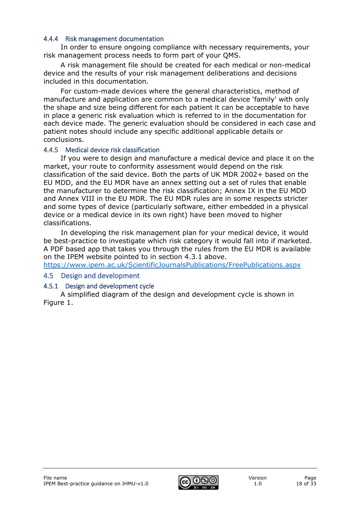#### <span id="page-17-0"></span>4.4.4 Risk management documentation

In order to ensure ongoing compliance with necessary requirements, your risk management process needs to form part of your QMS.

A risk management file should be created for each medical or non-medical device and the results of your risk management deliberations and decisions included in this documentation.

For custom-made devices where the general characteristics, method of manufacture and application are common to a medical device 'family' with only the shape and size being different for each patient it can be acceptable to have in place a generic risk evaluation which is referred to in the documentation for each device made. The generic evaluation should be considered in each case and patient notes should include any specific additional applicable details or conclusions.

#### <span id="page-17-1"></span>4.4.5 Medical device risk classification

If you were to design and manufacture a medical device and place it on the market, your route to conformity assessment would depend on the risk classification of the said device. Both the parts of UK MDR 2002+ based on the EU MDD, and the EU MDR have an annex setting out a set of rules that enable the manufacturer to determine the risk classification; Annex IX in the EU MDD and Annex VIII in the EU MDR. The EU MDR rules are in some respects stricter and some types of device (particularly software, either embedded in a physical device or a medical device in its own right) have been moved to higher classifications.

In developing the risk management plan for your medical device, it would be best-practice to investigate which risk category it would fall into if marketed. A PDF based app that takes you through the rules from the EU MDR is available on the IPEM website pointed to in section 4.3.1 above.

<https://www.ipem.ac.uk/ScientificJournalsPublications/FreePublications.aspx>

#### <span id="page-17-2"></span>4.5 Design and development

#### <span id="page-17-3"></span>4.5.1 Design and development cycle

A simplified diagram of the design and development cycle is shown in Figure 1.

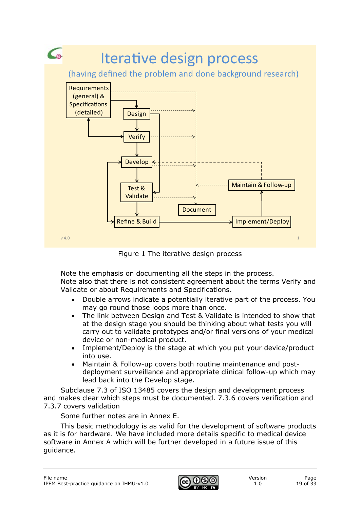

Figure 1 The iterative design process

Note the emphasis on documenting all the steps in the process.

Note also that there is not consistent agreement about the terms Verify and Validate or about Requirements and Specifications.

- Double arrows indicate a potentially iterative part of the process. You may go round those loops more than once.
- The link between Design and Test & Validate is intended to show that at the design stage you should be thinking about what tests you will carry out to validate prototypes and/or final versions of your medical device or non-medical product.
- Implement/Deploy is the stage at which you put your device/product into use.
- Maintain & Follow-up covers both routine maintenance and postdeployment surveillance and appropriate clinical follow-up which may lead back into the Develop stage.

Subclause 7.3 of ISO 13485 covers the design and development process and makes clear which steps must be documented. 7.3.6 covers verification and 7.3.7 covers validation

Some further notes are in Annex E.

This basic methodology is as valid for the development of software products as it is for hardware. We have included more details specific to medical device software in Annex A which will be further developed in a future issue of this guidance.

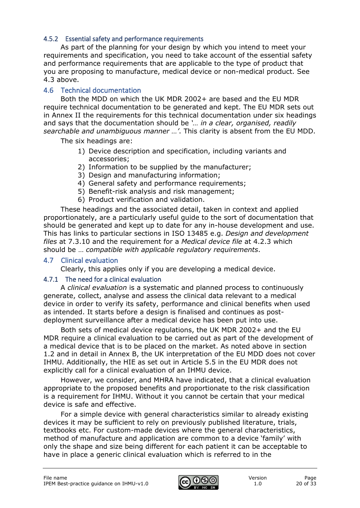#### <span id="page-19-0"></span>4.5.2 Essential safety and performance requirements

As part of the planning for your design by which you intend to meet your requirements and specification, you need to take account of the essential safety and performance requirements that are applicable to the type of product that you are proposing to manufacture, medical device or non-medical product. See 4.3 above.

### <span id="page-19-1"></span>4.6 Technical documentation

Both the MDD on which the UK MDR 2002+ are based and the EU MDR require technical documentation to be generated and kept. The EU MDR sets out in Annex II the requirements for this technical documentation under six headings and says that the documentation should be *'… in a clear, organised, readily searchable and unambiguous manner …'*. This clarity is absent from the EU MDD.

The six headings are:

- 1) Device description and specification, including variants and accessories;
- 2) Information to be supplied by the manufacturer;
- 3) Design and manufacturing information;
- 4) General safety and performance requirements;
- 5) Benefit-risk analysis and risk management;
- 6) Product verification and validation.

These headings and the associated detail, taken in context and applied proportionately, are a particularly useful guide to the sort of documentation that should be generated and kept up to date for any in-house development and use. This has links to particular sections in ISO 13485 e.g. *Design and development files* at 7.3.10 and the requirement for a *Medical device file* at 4.2.3 which should be … *compatible with applicable regulatory requirements*.

#### <span id="page-19-2"></span>4.7 Clinical evaluation

Clearly, this applies only if you are developing a medical device.

#### <span id="page-19-3"></span>4.7.1 The need for a clinical evaluation

A *clinical evaluation* is a systematic and planned process to continuously generate, collect, analyse and assess the clinical data relevant to a medical device in order to verify its safety, performance and clinical benefits when used as intended. It starts before a design is finalised and continues as postdeployment surveillance after a medical device has been put into use.

Both sets of medical device regulations, the UK MDR 2002+ and the EU MDR require a clinical evaluation to be carried out as part of the development of a medical device that is to be placed on the market. As noted above in section 1.2 and in detail in Annex B, the UK interpretation of the EU MDD does not cover IHMU. Additionally, the HIE as set out in Article 5.5 in the EU MDR does not explicitly call for a clinical evaluation of an IHMU device.

However, we consider, and MHRA have indicated, that a clinical evaluation appropriate to the proposed benefits and proportionate to the risk classification is a requirement for IHMU. Without it you cannot be certain that your medical device is safe and effective.

For a simple device with general characteristics similar to already existing devices it may be sufficient to rely on previously published literature, trials, textbooks etc. For custom-made devices where the general characteristics, method of manufacture and application are common to a device 'family' with only the shape and size being different for each patient it can be acceptable to have in place a generic clinical evaluation which is referred to in the

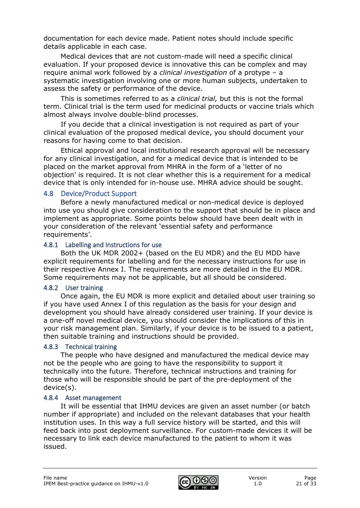documentation for each device made. Patient notes should include specific details applicable in each case.

Medical devices that are not custom-made will need a specific clinical evaluation. If your proposed device is innovative this can be complex and may require animal work followed by a *clinical investigation* of a protype – a systematic investigation involving one or more human subjects, undertaken to assess the safety or performance of the device.

This is sometimes referred to as a *clinical trial,* but this is not the formal term. Clinical trial is the term used for medicinal products or vaccine trials which almost always involve double-blind processes.

If you decide that a clinical investigation is not required as part of your clinical evaluation of the proposed medical device, you should document your reasons for having come to that decision.

Ethical approval and local institutional research approval will be necessary for any clinical investigation, and for a medical device that is intended to be placed on the market approval from MHRA in the form of a 'letter of no objection' is required. It is not clear whether this is a requirement for a medical device that is only intended for in-house use. MHRA advice should be sought.

#### <span id="page-20-0"></span>4.8 Device/Product Support

Before a newly manufactured medical or non-medical device is deployed into use you should give consideration to the support that should be in place and implement as appropriate. Some points below should have been dealt with in your consideration of the relevant 'essential safety and performance requirements'.

#### <span id="page-20-1"></span>4.8.1 Labelling and Instructions for use

Both the UK MDR 2002+ (based on the EU MDR) and the EU MDD have explicit requirements for labelling and for the necessary instructions for use in their respective Annex I. The requirements are more detailed in the EU MDR. Some requirements may not be applicable, but all should be considered.

#### <span id="page-20-2"></span>4.8.2 User training

Once again, the EU MDR is more explicit and detailed about user training so if you have used Annex I of this regulation as the basis for your design and development you should have already considered user training. If your device is a one-off novel medical device, you should consider the implications of this in your risk management plan. Similarly, if your device is to be issued to a patient, then suitable training and instructions should be provided.

## <span id="page-20-3"></span>4.8.3 Technical training

The people who have designed and manufactured the medical device may not be the people who are going to have the responsibility to support it technically into the future. Therefore, technical instructions and training for those who will be responsible should be part of the pre-deployment of the device(s).

#### <span id="page-20-4"></span>4.8.4 Asset management

It will be essential that IHMU devices are given an asset number (or batch number if appropriate) and included on the relevant databases that your health institution uses. In this way a full service history will be started, and this will feed back into post deployment surveillance. For custom-made devices it will be necessary to link each device manufactured to the patient to whom it was issued.

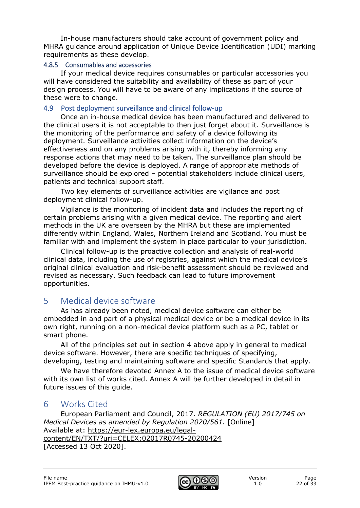In-house manufacturers should take account of government policy and MHRA guidance around application of Unique Device Identification (UDI) marking requirements as these develop.

#### <span id="page-21-0"></span>4.8.5 Consumables and accessories

If your medical device requires consumables or particular accessories you will have considered the suitability and availability of these as part of your design process. You will have to be aware of any implications if the source of these were to change.

## <span id="page-21-1"></span>4.9 Post deployment surveillance and clinical follow-up

Once an in-house medical device has been manufactured and delivered to the clinical users it is not acceptable to then just forget about it. Surveillance is the monitoring of the performance and safety of a device following its deployment. Surveillance activities collect information on the device's effectiveness and on any problems arising with it, thereby informing any response actions that may need to be taken. The surveillance plan should be developed before the device is deployed. A range of appropriate methods of surveillance should be explored – potential stakeholders include clinical users, patients and technical support staff.

Two key elements of surveillance activities are vigilance and post deployment clinical follow-up.

Vigilance is the monitoring of incident data and includes the reporting of certain problems arising with a given medical device. The reporting and alert methods in the UK are overseen by the MHRA but these are implemented differently within England, Wales, Northern Ireland and Scotland. You must be familiar with and implement the system in place particular to your jurisdiction.

Clinical follow-up is the proactive collection and analysis of real-world clinical data, including the use of registries, against which the medical device's original clinical evaluation and risk-benefit assessment should be reviewed and revised as necessary. Such feedback can lead to future improvement opportunities.

# <span id="page-21-2"></span>5 Medical device software

As has already been noted, medical device software can either be embedded in and part of a physical medical device or be a medical device in its own right, running on a non-medical device platform such as a PC, tablet or smart phone.

All of the principles set out in section 4 above apply in general to medical device software. However, there are specific techniques of specifying, developing, testing and maintaining software and specific Standards that apply.

We have therefore devoted Annex A to the issue of medical device software with its own list of works cited. Annex A will be further developed in detail in future issues of this guide.

# <span id="page-21-3"></span>6 Works Cited

European Parliament and Council, 2017. *REGULATION (EU) 2017/745 on Medical Devices as amended by Regulation 2020/561.* [Online] Available at: https://eur-lex.europa.eu/legalcontent/EN/TXT/?uri=CELEX:02017R0745-20200424 [Accessed 13 Oct 2020].

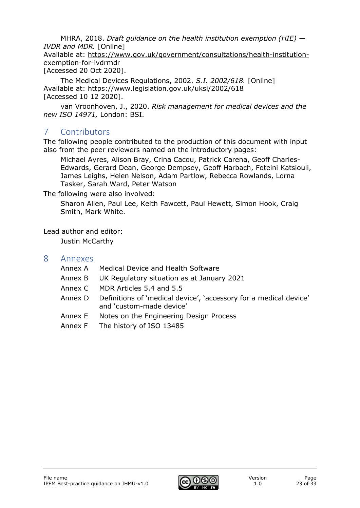MHRA, 2018. *Draft guidance on the health institution exemption (HIE) — IVDR and MDR.* [Online]

Available at: https://www.gov.uk/government/consultations/health-institutionexemption-for-ivdrmdr

[Accessed 20 Oct 2020].

The Medical Devices Regulations, 2002. *S.I. 2002/618.* [Online] Available at: https://www.legislation.gov.uk/uksi/2002/618 [Accessed 10 12 2020].

van Vroonhoven, J., 2020. *Risk management for medical devices and the new ISO 14971,* London: BSI.

# <span id="page-22-0"></span>7 Contributors

The following people contributed to the production of this document with input also from the peer reviewers named on the introductory pages:

Michael Ayres, Alison Bray, Crina Cacou, Patrick Carena, Geoff Charles-Edwards, Gerard Dean, George Dempsey, Geoff Harbach, Foteini Katsiouli, James Leighs, Helen Nelson, Adam Partlow, Rebecca Rowlands, Lorna Tasker, Sarah Ward, Peter Watson

The following were also involved:

Sharon Allen, Paul Lee, Keith Fawcett, Paul Hewett, Simon Hook, Craig Smith, Mark White.

Lead author and editor:

Justin McCarthy

## <span id="page-22-1"></span>8 Annexes

- Annex A Medical Device and Health Software
- Annex B UK Regulatory situation as at January 2021
- Annex C MDR Articles 5.4 and 5.5
- Annex D Definitions of 'medical device', 'accessory for a medical device' and 'custom-made device'
- Annex E Notes on the Engineering Design Process
- Annex F The history of ISO 13485

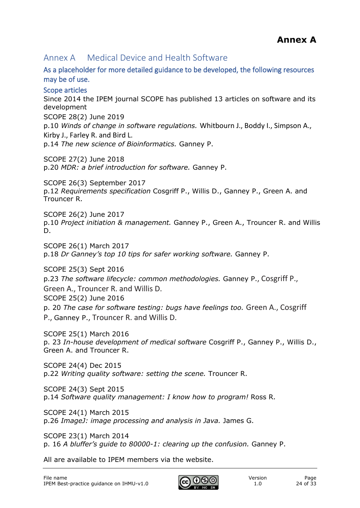# <span id="page-23-0"></span>Annex A Medical Device and Health Software

<span id="page-23-1"></span>As a placeholder for more detailed guidance to be developed, the following resources may be of use.

### <span id="page-23-2"></span>Scope articles

Since 2014 the IPEM journal SCOPE has published 13 articles on software and its development

SCOPE 28(2) June 2019

p.10 *Winds of change in software regulations.* Whitbourn J., Boddy I., Simpson A., Kirby J., Farley R. and Bird L.

p.14 *The new science of Bioinformatics.* Ganney P.

SCOPE 27(2) June 2018 p.20 *MDR: a brief introduction for software.* Ganney P.

SCOPE 26(3) September 2017 p.12 *Requirements specification* Cosgriff P., Willis D., Ganney P., Green A. and Trouncer R.

SCOPE 26(2) June 2017 p.10 *Project initiation & management.* Ganney P., Green A., Trouncer R. and Willis D.

SCOPE 26(1) March 2017 p.18 *Dr Ganney's top 10 tips for safer working software.* Ganney P.

SCOPE 25(3) Sept 2016 p.23 *The software lifecycle: common methodologies.* Ganney P., Cosgriff P., Green A., Trouncer R. and Willis D. SCOPE 25(2) June 2016 p. 20 *The case for software testing: bugs have feelings too.* Green A., Cosgriff

P., Ganney P., Trouncer R. and Willis D.

SCOPE 25(1) March 2016 p. 23 *In-house development of medical software* Cosgriff P., Ganney P., Willis D., Green A. and Trouncer R.

SCOPE 24(4) Dec 2015 p.22 *Writing quality software: setting the scene.* Trouncer R.

SCOPE 24(3) Sept 2015 p.14 *Software quality management: I know how to program!* Ross R.

SCOPE 24(1) March 2015 p.26 *ImageJ: image processing and analysis in Java.* James G.

SCOPE 23(1) March 2014 p. 16 *A bluffer's guide to 80000-1: clearing up the confusion.* Ganney P.

All are available to IPEM members via the website.

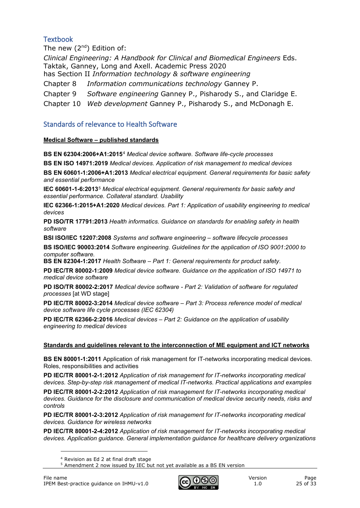#### <span id="page-24-0"></span>**Textbook**

The new  $(2^{nd})$  Edition of: *Clinical Engineering: A Handbook for Clinical and Biomedical Engineers* Eds. Taktak, Ganney, Long and Axell. Academic Press 2020 has Section II *Information technology & software engineering* Chapter 8 *Information communications technology* Ganney P. Chapter 9 *Software engineering* Ganney P., Pisharody S., and Claridge E. Chapter 10 *Web development* Ganney P., Pisharody S., and McDonagh E.

#### <span id="page-24-1"></span>Standards of relevance to Health Software

#### **Medical Software – published standards**

**BS EN 62304:2006+A1:2015**[4](#page-24-2) *Medical device software. Software life-cycle processes*

**BS EN ISO 14971:2019** *Medical devices. Application of risk management to medical devices* 

**BS EN 60601-1:2006+A1:2013** *Medical electrical equipment. General requirements for basic safety and essential performance*

**IEC 60601-1-6:2013**[5](#page-24-3) *Medical electrical equipment. General requirements for basic safety and essential performance. Collateral standard. Usability*

**IEC 62366-1:2015+A1:2020** *Medical devices. Part 1: Application of usability engineering to medical devices*

**PD ISO/TR 17791:2013** *Health informatics. Guidance on standards for enabling safety in health software*

**BSI ISO/IEC 12207:2008** *Systems and software engineering – software lifecycle processes* 

**BS ISO/IEC 90003:2014** *Software engineering. Guidelines for the application of ISO 9001:2000 to computer software.*

**BS EN 82304-1:2017** *Health Software – Part 1: General requirements for product safety*.

**PD IEC/TR 80002-1:2009** *Medical device software. Guidance on the application of ISO 14971 to medical device software* 

**PD ISO/TR 80002-2:2017** *Medical device software - Part 2: Validation of software for regulated processes* [at WD stage]

**PD IEC/TR 80002-3:2014** *Medical device software – Part 3: Process reference model of medical device software life cycle processes (IEC 62304)*

**PD IEC/TR 62366-2:2016** *Medical devices – Part 2: Guidance on the application of usability engineering to medical devices*

#### **Standards and guidelines relevant to the interconnection of ME equipment and ICT networks**

**BS EN 80001-1:2011** Application of risk management for IT-networks incorporating medical devices. Roles, responsibilities and activities

**PD IEC/TR 80001-2-1:2012** *Application of risk management for IT-networks incorporating medical devices. Step-by-step risk management of medical IT-networks. Practical applications and examples* 

**PD IEC/TR 80001-2-2:2012** *Application of risk management for IT-networks incorporating medical devices. Guidance for the disclosure and communication of medical device security needs, risks and controls* 

**PD IEC/TR 80001-2-3:2012** *Application of risk management for IT-networks incorporating medical devices. Guidance for wireless networks*

<span id="page-24-3"></span><span id="page-24-2"></span>**PD IEC/TR 80001-2-4:2012** *Application of risk management for IT-networks incorporating medical devices. Application guidance. General implementation guidance for healthcare delivery organizations*



<sup>4</sup> Revision as Ed 2 at final draft stage

<sup>5</sup> Amendment 2 now issued by IEC but not yet available as a BS EN version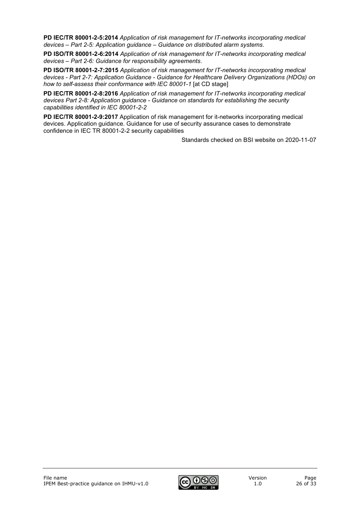**PD IEC/TR 80001-2-5:2014** *Application of risk management for IT-networks incorporating medical devices – Part 2-5: Application guidance – Guidance on distributed alarm systems*.

**PD ISO/TR 80001-2-6:2014** *Application of risk management for IT-networks incorporating medical devices – Part 2-6: Guidance for responsibility agreements*.

**PD ISO/TR 80001-2-7:2015** *Application of risk management for IT-networks incorporating medical devices - Part 2-7: Application Guidance - Guidance for Healthcare Delivery Organizations (HDOs) on how to self-assess their conformance with IEC 80001-1* [at CD stage]

**PD IEC/TR 80001-2-8:2016** *Application of risk management for IT-networks incorporating medical devices Part 2-8: Application guidance - Guidance on standards for establishing the security capabilities identified in IEC 80001-2-2*

**PD IEC/TR 80001-2-9:2017** Application of risk management for it-networks incorporating medical devices. Application guidance. Guidance for use of security assurance cases to demonstrate confidence in IEC TR 80001-2-2 security capabilities

Standards checked on BSI website on 2020-11-07

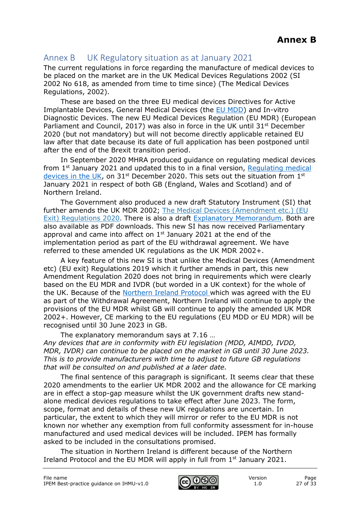## <span id="page-26-0"></span>Annex B UK Regulatory situation as at January 2021

The current regulations in force regarding the manufacture of medical devices to be placed on the market are in the UK Medical Devices Regulations 2002 (SI 2002 No 618, as amended from time to time since) (The Medical Devices Regulations, 2002).

These are based on the three EU medical devices Directives for Active Implantable Devices, General Medical Devices (the [EU MDD\)](http://eur-lex.europa.eu/LexUriServ/LexUriServ.do?uri=CONSLEG:1993L0042:20071011:en:PDF) and In-vitro Diagnostic Devices. The new EU Medical Devices Regulation (EU MDR) (European Parliament and Council, 2017) was also in force in the UK until  $31<sup>st</sup>$  December 2020 (but not mandatory) but will not become directly applicable retained EU law after that date because its date of full application has been postponed until after the end of the Brexit transition period.

In September 2020 MHRA produced guidance on regulating medical devices from 1<sup>st</sup> January 2021 and updated this to in a final version, Regulating medical [devices in the UK,](https://www.gov.uk/guidance/regulating-medical-devices-in-the-uk#history) on 31<sup>st</sup> December 2020. This sets out the situation from 1<sup>st</sup> January 2021 in respect of both GB (England, Wales and Scotland) and of Northern Ireland.

The Government also produced a new draft Statutory Instrument (SI) that further amends the UK MDR 2002; [The Medical Devices \(Amendment etc.\) \(EU](https://www.legislation.gov.uk/ukdsi/2020/9780348213805/introduction)  [Exit\) Regulations 2020.](https://www.legislation.gov.uk/ukdsi/2020/9780348213805/introduction) There is also a draft [Explanatory Memorandum.](https://www.legislation.gov.uk/ukdsi/2020/9780348213805/memorandum/contents) Both are also available as PDF downloads. This new SI has now received Parliamentary approval and came into affect on  $1<sup>st</sup>$  January 2021 at the end of the implementation period as part of the EU withdrawal agreement. We have referred to these amended UK regulations as the UK MDR 2002+.

A key feature of this new SI is that unlike the Medical Devices (Amendment etc) (EU exit) Regulations 2019 which it further amends in part, this new Amendment Regulation 2020 does not bring in requirements which were clearly based on the EU MDR and IVDR (but worded in a UK context) for the whole of the UK. Because of the [Northern Ireland Protocol](https://assets.publishing.service.gov.uk/government/uploads/system/uploads/attachment_data/file/840230/Revised_Protocol_to_the_Withdrawal_Agreement.pdf) which was agreed with the EU as part of the Withdrawal Agreement, Northern Ireland will continue to apply the provisions of the EU MDR whilst GB will continue to apply the amended UK MDR 2002+. However, CE marking to the EU regulations (EU MDD or EU MDR) will be recognised until 30 June 2023 in GB.

The explanatory memorandum says at 7.16 …

*Any devices that are in conformity with EU legislation (MDD, AIMDD, IVDD, MDR, IVDR) can continue to be placed on the market in GB until 30 June 2023. This is to provide manufacturers with time to adjust to future GB regulations that will be consulted on and published at a later date.*

The final sentence of this paragraph is significant. It seems clear that these 2020 amendments to the earlier UK MDR 2002 and the allowance for CE marking are in effect a stop-gap measure whilst the UK government drafts new standalone medical devices regulations to take effect after June 2023. The form, scope, format and details of these new UK regulations are uncertain. In particular, the extent to which they will mirror or refer to the EU MDR is not known nor whether any exemption from full conformity assessment for in-house manufactured and used medical devices will be included. IPEM has formally asked to be included in the consultations promised.

The situation in Northern Ireland is different because of the Northern Ireland Protocol and the EU MDR will apply in full from 1<sup>st</sup> January 2021.

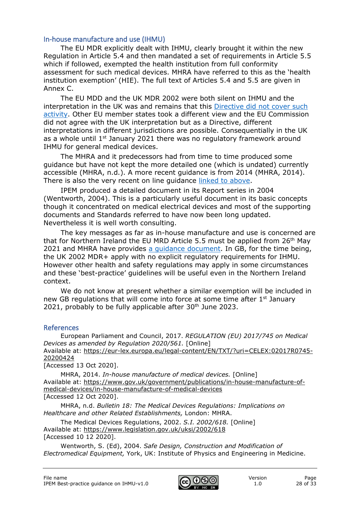#### <span id="page-27-0"></span>In-house manufacture and use (IHMU)

The EU MDR explicitly dealt with IHMU, clearly brought it within the new Regulation in Article 5.4 and then mandated a set of requirements in Article 5.5 which if followed, exempted the health institution from full conformity assessment for such medical devices. MHRA have referred to this as the 'health institution exemption' (HIE). The full text of Articles 5.4 and 5.5 are given in Annex C.

The EU MDD and the UK MDR 2002 were both silent on IHMU and the interpretation in the UK was and remains that this [Directive did not cover such](https://www.gov.uk/government/publications/in-house-manufacture-of-medical-devices/in-house-manufacture-of-medical-devices)  [activity.](https://www.gov.uk/government/publications/in-house-manufacture-of-medical-devices/in-house-manufacture-of-medical-devices) Other EU member states took a different view and the EU Commission did not agree with the UK interpretation but as a Directive, different interpretations in different jurisdictions are possible. Consequentially in the UK as a whole until  $1<sup>st</sup>$  January 2021 there was no regulatory framework around IHMU for general medical devices.

The MHRA and it predecessors had from time to time produced some guidance but have not kept the more detailed one (which is undated) currently accessible (MHRA, n.d.). A more recent guidance is from 2014 (MHRA, 2014). There is also the very recent on line guidance [linked to above.](https://www.gov.uk/government/publications/in-house-manufacture-of-medical-devices/in-house-manufacture-of-medical-devices)

IPEM produced a detailed document in its Report series in 2004 (Wentworth, 2004). This is a particularly useful document in its basic concepts though it concentrated on medical electrical devices and most of the supporting documents and Standards referred to have now been long updated. Nevertheless it is well worth consulting.

The key messages as far as in-house manufacture and use is concerned are that for Northern Ireland the EU MRD Article 5.5 must be applied from 26th May 2021 and MHRA have provides [a guidance document.](https://www.gov.uk/government/publications/mhra-guidance-on-the-health-institution-exemption-hie-ivdr-and-mdr-northern-ireland?utm_source=d589d63d-c714-44d5-8989-9e9812037a5b&utm_medium=email&utm_campaign=govuk-notifications&utm_content=daily) In GB, for the time being, the UK 2002 MDR+ apply with no explicit regulatory requirements for IHMU. However other health and safety regulations may apply in some circumstances and these 'best-practice' guidelines will be useful even in the Northern Ireland context.

We do not know at present whether a similar exemption will be included in new GB regulations that will come into force at some time after 1<sup>st</sup> January 2021, probably to be fully applicable after  $30<sup>th</sup>$  June 2023.

#### <span id="page-27-1"></span>References

European Parliament and Council, 2017. *REGULATION (EU) 2017/745 on Medical Devices as amended by Regulation 2020/561.* [Online] Available at: https://eur-lex.europa.eu/legal-content/EN/TXT/?uri=CELEX:02017R0745- 20200424

[Accessed 13 Oct 2020].

MHRA, 2014. *In-house manufacture of medical devices.* [Online] Available at: https://www.gov.uk/government/publications/in-house-manufacture-ofmedical-devices/in-house-manufacture-of-medical-devices [Accessed 12 Oct 2020].

MHRA, n.d. *Bulletin 18: The Medical Devices Regulations: Implications on Healthcare and other Related Establishments,* London: MHRA.

The Medical Devices Regulations, 2002. *S.I. 2002/618.* [Online] Available at: https://www.legislation.gov.uk/uksi/2002/618 [Accessed 10 12 2020].

Wentworth, S. (Ed), 2004. *Safe Design, Construction and Modification of Electromedical Equipment,* York, UK: Institute of Physics and Engineering in Medicine.

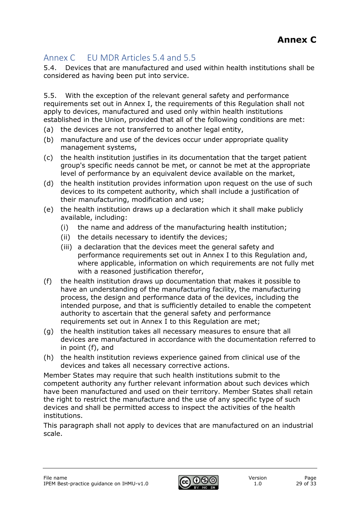# <span id="page-28-0"></span>Annex C EU MDR Articles 5.4 and 5.5

5.4. Devices that are manufactured and used within health institutions shall be considered as having been put into service.

5.5. With the exception of the relevant general safety and performance requirements set out in Annex I, the requirements of this Regulation shall not apply to devices, manufactured and used only within health institutions established in the Union, provided that all of the following conditions are met:

- (a) the devices are not transferred to another legal entity,
- (b) manufacture and use of the devices occur under appropriate quality management systems,
- (c) the health institution justifies in its documentation that the target patient group's specific needs cannot be met, or cannot be met at the appropriate level of performance by an equivalent device available on the market,
- (d) the health institution provides information upon request on the use of such devices to its competent authority, which shall include a justification of their manufacturing, modification and use;
- (e) the health institution draws up a declaration which it shall make publicly available, including:
	- (i) the name and address of the manufacturing health institution;
	- (ii) the details necessary to identify the devices;
	- (iii) a declaration that the devices meet the general safety and performance requirements set out in Annex I to this Regulation and, where applicable, information on which requirements are not fully met with a reasoned justification therefor,
- (f) the health institution draws up documentation that makes it possible to have an understanding of the manufacturing facility, the manufacturing process, the design and performance data of the devices, including the intended purpose, and that is sufficiently detailed to enable the competent authority to ascertain that the general safety and performance requirements set out in Annex I to this Regulation are met;
- (g) the health institution takes all necessary measures to ensure that all devices are manufactured in accordance with the documentation referred to in point (f), and
- (h) the health institution reviews experience gained from clinical use of the devices and takes all necessary corrective actions.

Member States may require that such health institutions submit to the competent authority any further relevant information about such devices which have been manufactured and used on their territory. Member States shall retain the right to restrict the manufacture and the use of any specific type of such devices and shall be permitted access to inspect the activities of the health institutions.

This paragraph shall not apply to devices that are manufactured on an industrial scale.

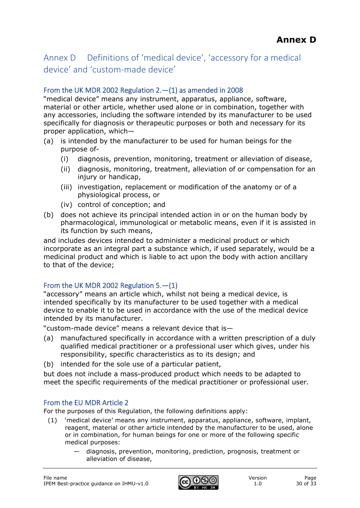# <span id="page-29-0"></span>Annex D Definitions of 'medical device', 'accessory for a medical device' and 'custom-made device'

## <span id="page-29-1"></span>From the UK MDR 2002 Regulation 2.—(1) as amended in 2008

"medical device" means any instrument, apparatus, appliance, software, material or other article, whether used alone or in combination, together with any accessories, including the software intended by its manufacturer to be used specifically for diagnosis or therapeutic purposes or both and necessary for its proper application, which—

- (a) is intended by the manufacturer to be used for human beings for the purpose of-
	- (i) diagnosis, prevention, monitoring, treatment or alleviation of disease,
	- (ii) diagnosis, monitoring, treatment, alleviation of or compensation for an injury or handicap,
	- (iii) investigation, replacement or modification of the anatomy or of a physiological process, or
	- (iv) control of conception; and
- (b) does not achieve its principal intended action in or on the human body by pharmacological, immunological or metabolic means, even if it is assisted in its function by such means,

and includes devices intended to administer a medicinal product or which incorporate as an integral part a substance which, if used separately, would be a medicinal product and which is liable to act upon the body with action ancillary to that of the device;

## <span id="page-29-2"></span>From the UK MDR 2002 Regulation  $5.-(1)$

"accessory" means an article which, whilst not being a medical device, is intended specifically by its manufacturer to be used together with a medical device to enable it to be used in accordance with the use of the medical device intended by its manufacturer.

"custom-made device" means a relevant device that is—

- (a) manufactured specifically in accordance with a written prescription of a duly qualified medical practitioner or a professional user which gives, under his responsibility, specific characteristics as to its design; and
- (b) intended for the sole use of a particular patient,

but does not include a mass-produced product which needs to be adapted to meet the specific requirements of the medical practitioner or professional user.

## <span id="page-29-3"></span>From the EU MDR Article 2

For the purposes of this Regulation, the following definitions apply:

- (1) 'medical device' means any instrument, apparatus, appliance, software, implant, reagent, material or other article intended by the manufacturer to be used, alone or in combination, for human beings for one or more of the following specific medical purposes:
	- diagnosis, prevention, monitoring, prediction, prognosis, treatment or alleviation of disease,

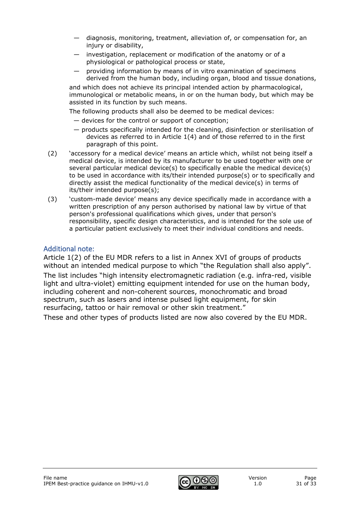- diagnosis, monitoring, treatment, alleviation of, or compensation for, an injury or disability,
- investigation, replacement or modification of the anatomy or of a physiological or pathological process or state,
- providing information by means of in vitro examination of specimens derived from the human body, including organ, blood and tissue donations,

and which does not achieve its principal intended action by pharmacological, immunological or metabolic means, in or on the human body, but which may be assisted in its function by such means.

The following products shall also be deemed to be medical devices:

- devices for the control or support of conception;
- products specifically intended for the cleaning, disinfection or sterilisation of devices as referred to in Article 1(4) and of those referred to in the first paragraph of this point.
- (2) 'accessory for a medical device' means an article which, whilst not being itself a medical device, is intended by its manufacturer to be used together with one or several particular medical device(s) to specifically enable the medical device(s) to be used in accordance with its/their intended purpose(s) or to specifically and directly assist the medical functionality of the medical device(s) in terms of its/their intended purpose(s);
- (3) 'custom-made device' means any device specifically made in accordance with a written prescription of any person authorised by national law by virtue of that person's professional qualifications which gives, under that person's responsibility, specific design characteristics, and is intended for the sole use of a particular patient exclusively to meet their individual conditions and needs.

## <span id="page-30-0"></span>Additional note:

Article 1(2) of the EU MDR refers to a list in Annex XVI of groups of products without an intended medical purpose to which "the Regulation shall also apply". The list includes "high intensity electromagnetic radiation (e.g. infra-red, visible light and ultra-violet) emitting equipment intended for use on the human body, including coherent and non-coherent sources, monochromatic and broad spectrum, such as lasers and intense pulsed light equipment, for skin resurfacing, tattoo or hair removal or other skin treatment."

These and other types of products listed are now also covered by the EU MDR.

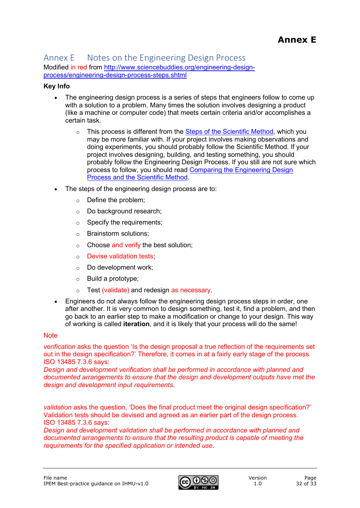#### <span id="page-31-0"></span>Annex E Notes on the Engineering Design Process Modified in red from [http://www.sciencebuddies.org/engineering-design](http://www.sciencebuddies.org/engineering-design-process/engineering-design-process-steps.shtml)[process/engineering-design-process-steps.shtml](http://www.sciencebuddies.org/engineering-design-process/engineering-design-process-steps.shtml)

#### **Key Info**

- The engineering design process is a series of steps that engineers follow to come up with a solution to a problem. Many times the solution involves designing a product (like a machine or computer code) that meets certain criteria and/or accomplishes a certain task.
	- $\circ$  This process is different from the [Steps of the Scientific Method,](http://www.sciencebuddies.org/science-fair-projects/project_scientific_method.shtml) which you may be more familiar with. If your project involves making observations and doing experiments, you should probably follow the Scientific Method. If your project involves designing, building, and testing something, you should probably follow the Engineering Design Process. If you still are not sure which process to follow, you should read [Comparing the Engineering Design](http://www.sciencebuddies.org/engineering-design-process/engineering-design-compare-scientific-method.shtml)  [Process and the Scientific Method.](http://www.sciencebuddies.org/engineering-design-process/engineering-design-compare-scientific-method.shtml)
- The steps of the engineering design process are to:
	- o Define the problem;
	- o Do background research;
	- $\circ$  Specify the requirements;
	- o Brainstorm solutions;
	- $\circ$  Choose and verify the best solution;
	- o Devise validation tests;
	- o Do development work;
	- o Build a prototype;
	- o Test (validate) and redesign as necessary.
- Engineers do not always follow the engineering design process steps in order, one after another. It is very common to design something, test it, find a problem, and then go back to an earlier step to make a modification or change to your design. This way of working is called **iteration**, and it is likely that your process will do the same!

#### **Note**

*verification* asks the question 'Is the design proposal a true reflection of the requirements set out in the design specification?' Therefore, it comes in at a fairly early stage of the process. ISO 13485 7.3.6 says:

*Design and development verification shall be performed in accordance with planned and documented arrangements to ensure that the design and development outputs have met the design and development input requirements.*

*validation* asks the question, 'Does the final product meet the original design specification?' Validation tests should be devised and agreed as an earlier part of the design process. ISO 13485 7.3.6 says:

*Design and development validation shall be performed in accordance with planned and documented arrangements to ensure that the resulting product is capable of meeting the requirements for the specified application or intended use.*